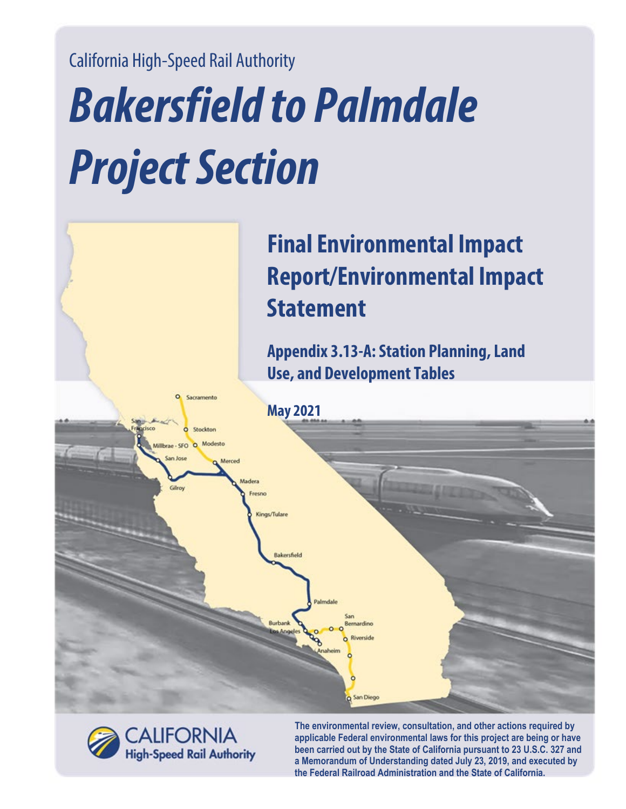California High-Speed Rail Authority

Sacramento

Stockton

# *Bakersfield to Palmdale Project Section*

**May 2021** 

# **Final Environmental Impact Report/Environmental Impact Statement**

**Appendix 3.13-A: Station Planning, Land Use, and Development Tables**



**The environmental review, consultation, and other actions required by applicable Federal environmental laws for this project are being or have been carried out by the State of California pursuant to 23 U.S.C. 327 and**  a Memorandum of Understanding dated July 23, 2019, and executed by **the Federal Railroad Administration and the State of California.** 

San Diego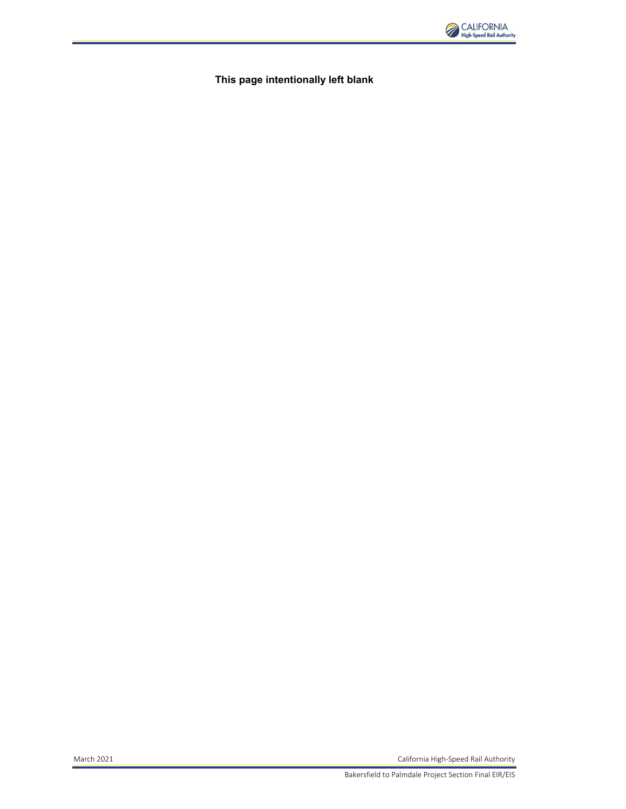

**This page intentionally left blank** 

March 2021 California High‐Speed Rail Authority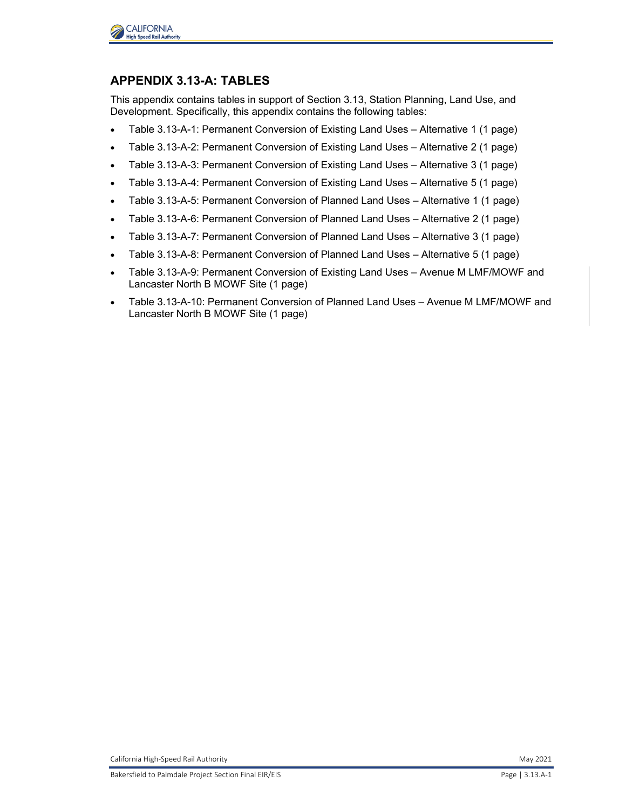

## **APPENDIX 3.13-A: TABLES**

This appendix contains tables in support of Section 3.13, Station Planning, Land Use, and Development. Specifically, this appendix contains the following tables:

- [Table 3.13-A-1: Permanent Conversion of Existing Land Uses Alternative 1 \(1 page\)](#page-4-0)
- [Table 3.13-A-2: Permanent Conversion of Existing Land Uses Alternative 2 \(1 page\)](#page-5-0)
- [Table 3.13-A-3: Permanent Conversion of Existing Land Uses Alternative 3 \(1 page\)](#page-6-0)
- [Table 3.13-A-4: Permanent Conversion of Existing Land Uses Alternative 5 \(1 page\)](#page-7-0)
- [Table 3.13-A-5: Permanent Conversion of Planned Land Uses Alternative 1 \(1 page\)](#page-8-0)
- [Table 3.13-A-6: Permanent Conversion of Planned Land Uses Alternative 2 \(1 page\)](#page-9-0)
- [Table 3.13-A-7: Permanent Conversion of Planned Land Uses Alternative 3 \(1 page\)](#page-10-0)
- [Table 3.13-A-8: Permanent Conversion of Planned Land Uses Alternative 5 \(1 page\)](#page-11-0)
- [Table 3.13-A-9: Permanent Conversion of Existing Land Uses Avenue M LMF/MOWF and](#page-12-0) Lancaster North B MOWF Site (1 page)
- [Table 3.13-A-10: Permanent Conversion of Planned Land Uses Avenue M LMF/MOWF and](#page-12-0) Lancaster North B MOWF Site (1 page)

California High‐Speed Rail Authority May 2021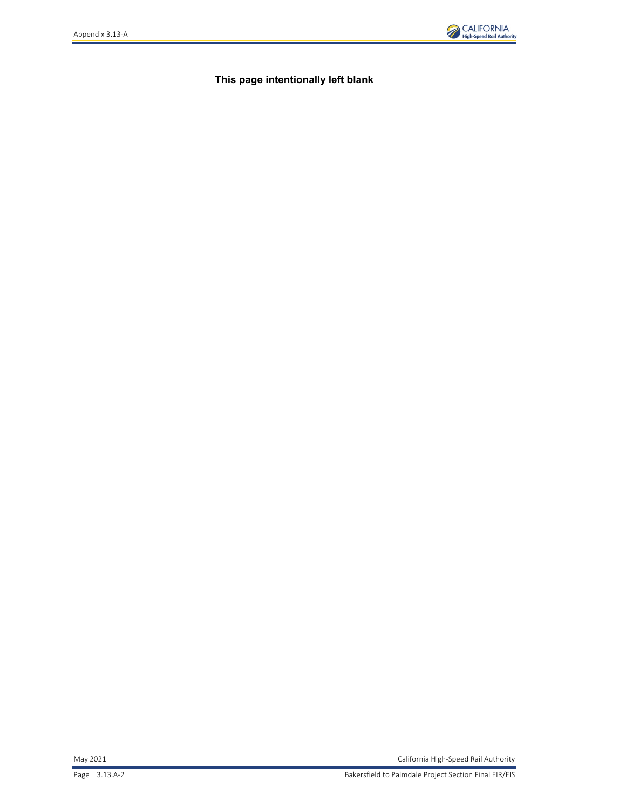

**This page intentionally left blank** 

May 2021 California High‐Speed Rail Authority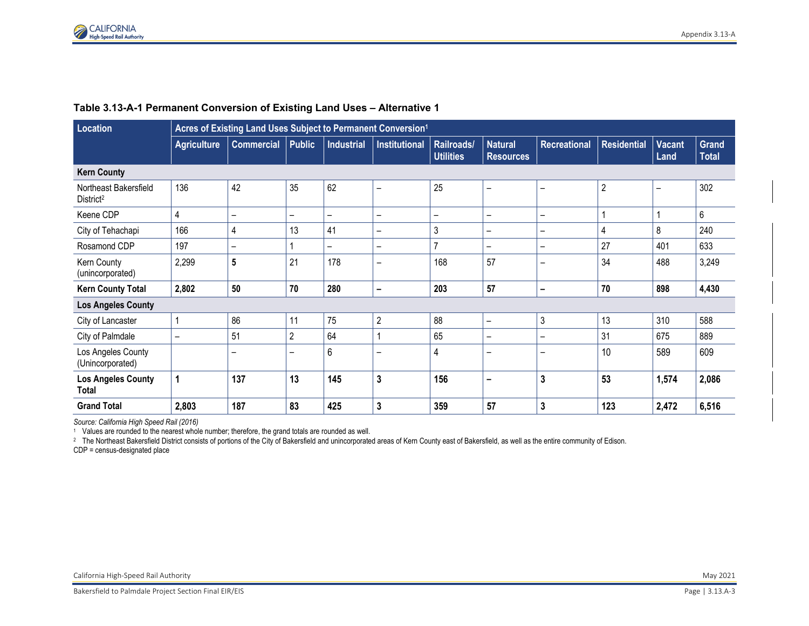| Location                                       |                          | Acres of Existing Land Uses Subject to Permanent Conversion <sup>1</sup> |                          |                          |                          |                                |                                    |                          |                |                       |                              |
|------------------------------------------------|--------------------------|--------------------------------------------------------------------------|--------------------------|--------------------------|--------------------------|--------------------------------|------------------------------------|--------------------------|----------------|-----------------------|------------------------------|
|                                                | <b>Agriculture</b>       | Commercial Public                                                        |                          | <b>Industrial</b>        | Institutional            | Railroads/<br><b>Utilities</b> | <b>Natural</b><br><b>Resources</b> | <b>Recreational</b>      | Residential    | <b>Vacant</b><br>Land | <b>Grand</b><br><b>Total</b> |
| <b>Kern County</b>                             |                          |                                                                          |                          |                          |                          |                                |                                    |                          |                |                       |                              |
| Northeast Bakersfield<br>District <sup>2</sup> | 136                      | 42                                                                       | 35                       | 62                       | $\qquad \qquad -$        | 25                             | $\overline{\phantom{0}}$           | -                        | $\overline{2}$ | -                     | 302                          |
| Keene CDP                                      | 4                        | -                                                                        | $\qquad \qquad$          | -                        | -                        | $\qquad \qquad -$              | -                                  | $\overline{\phantom{0}}$ |                |                       | 6                            |
| City of Tehachapi                              | 166                      | 4                                                                        | 13                       | 41                       | -                        | 3                              | -                                  | -                        | 4              | 8                     | 240                          |
| Rosamond CDP                                   | 197                      | $\overline{\phantom{0}}$                                                 |                          | $\overline{\phantom{0}}$ | $\overline{\phantom{0}}$ | 7                              | -                                  |                          | 27             | 401                   | 633                          |
| Kern County<br>(unincorporated)                | 2,299                    | 5                                                                        | 21                       | 178                      | -                        | 168                            | 57                                 |                          | 34             | 488                   | 3,249                        |
| <b>Kern County Total</b>                       | 2,802                    | 50                                                                       | 70                       | 280                      | -                        | 203                            | 57                                 | -                        | 70             | 898                   | 4,430                        |
| <b>Los Angeles County</b>                      |                          |                                                                          |                          |                          |                          |                                |                                    |                          |                |                       |                              |
| City of Lancaster                              |                          | 86                                                                       | 11                       | 75                       | $\overline{2}$           | 88                             | -                                  | 3                        | 13             | 310                   | 588                          |
| City of Palmdale                               | $\overline{\phantom{0}}$ | 51                                                                       | $\overline{2}$           | 64                       |                          | 65                             | -                                  |                          | 31             | 675                   | 889                          |
| Los Angeles County<br>(Unincorporated)         |                          | ۰                                                                        | $\overline{\phantom{0}}$ | 6                        | $\overline{\phantom{0}}$ | 4                              | $\overline{\phantom{0}}$           |                          | 10             | 589                   | 609                          |
| <b>Los Angeles County</b><br>Total             |                          | 137                                                                      | 13                       | 145                      | $\mathbf{3}$             | 156                            | $\overline{\phantom{0}}$           | 3                        | 53             | 1,574                 | 2,086                        |
| <b>Grand Total</b>                             | 2,803                    | 187                                                                      | 83                       | 425                      | 3                        | 359                            | 57                                 | 3                        | 123            | 2,472                 | 6,516                        |

### <span id="page-4-0"></span>**Table 3.13-A-1 Permanent Conversion of Existing Land Uses – Alternative 1**

*Source: California High Speed Rail (2016)* 

1 Values are rounded to the nearest whole number; therefore, the grand totals are rounded as well.

<sup>2</sup> The Northeast Bakersfield District consists of portions of the City of Bakersfield and unincorporated areas of Kern County east of Bakersfield, as well as the entire community of Edison.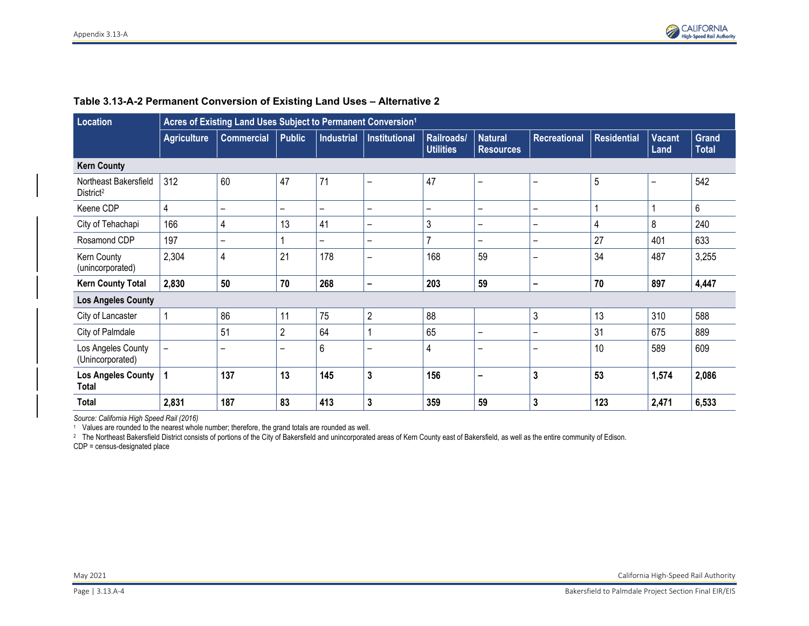| <b>Location</b>                                |                    | Acres of Existing Land Uses Subject to Permanent Conversion <sup>1</sup> |                |                          |                          |                                       |                                    |                     |                    |                       |                              |
|------------------------------------------------|--------------------|--------------------------------------------------------------------------|----------------|--------------------------|--------------------------|---------------------------------------|------------------------------------|---------------------|--------------------|-----------------------|------------------------------|
|                                                | <b>Agriculture</b> | <b>Commercial</b>                                                        | <b>Public</b>  | Industrial               | Institutional            | <b>Railroads/</b><br><b>Utilities</b> | <b>Natural</b><br><b>Resources</b> | <b>Recreational</b> | <b>Residential</b> | <b>Vacant</b><br>Land | <b>Grand</b><br><b>Total</b> |
| <b>Kern County</b>                             |                    |                                                                          |                |                          |                          |                                       |                                    |                     |                    |                       |                              |
| Northeast Bakersfield<br>District <sup>2</sup> | 312                | 60                                                                       | 47             | 71                       |                          | 47                                    | -                                  |                     | 5                  | -                     | 542                          |
| Keene CDP                                      | 4                  | ۳                                                                        |                | $\qquad \qquad$          | $\overline{\phantom{0}}$ | ۰                                     | -                                  | -                   |                    |                       | 6                            |
| City of Tehachapi                              | 166                | 4                                                                        | 13             | 41                       | $\overline{\phantom{0}}$ | 3                                     | -                                  | -                   | 4                  | 8                     | 240                          |
| Rosamond CDP                                   | 197                | $\overline{\phantom{0}}$                                                 |                | $\overline{\phantom{a}}$ | $\overline{\phantom{0}}$ | $\overline{7}$                        | -                                  | -                   | 27                 | 401                   | 633                          |
| Kern County<br>(unincorporated)                | 2,304              | 4                                                                        | 21             | 178                      | -                        | 168                                   | 59                                 | -                   | 34                 | 487                   | 3,255                        |
| <b>Kern County Total</b>                       | 2,830              | 50                                                                       | 70             | 268                      | -                        | 203                                   | 59                                 | -                   | 70                 | 897                   | 4,447                        |
| <b>Los Angeles County</b>                      |                    |                                                                          |                |                          |                          |                                       |                                    |                     |                    |                       |                              |
| City of Lancaster                              |                    | 86                                                                       | 11             | 75                       | $\overline{2}$           | 88                                    |                                    | 3                   | 13                 | 310                   | 588                          |
| City of Palmdale                               |                    | 51                                                                       | $\overline{2}$ | 64                       |                          | 65                                    | $\overline{\phantom{0}}$           | -                   | 31                 | 675                   | 889                          |
| Los Angeles County<br>(Unincorporated)         |                    | $\overline{\phantom{0}}$                                                 | -              | 6                        | -                        | 4                                     | $\overline{\phantom{0}}$           | -                   | 10                 | 589                   | 609                          |
| <b>Los Angeles County</b><br><b>Total</b>      |                    | 137                                                                      | 13             | 145                      | $\overline{3}$           | 156                                   | -                                  | 3                   | 53                 | 1,574                 | 2,086                        |
| <b>Total</b>                                   | 2,831              | 187                                                                      | 83             | 413                      | 3                        | 359                                   | 59                                 | 3                   | 123                | 2,471                 | 6,533                        |

#### <span id="page-5-0"></span>**Table 3.13-A-2 Permanent Conversion of Existing Land Uses – Alternative 2**

*Source: California High Speed Rail (2016)* 

Values are rounded to the nearest whole number; therefore, the grand totals are rounded as well. 1 2

The Northeast Bakersfield District consists of portions of the City of Bakersfield and unincorporated areas of Kern County east of Bakersfield, as well as the entire community of Edison.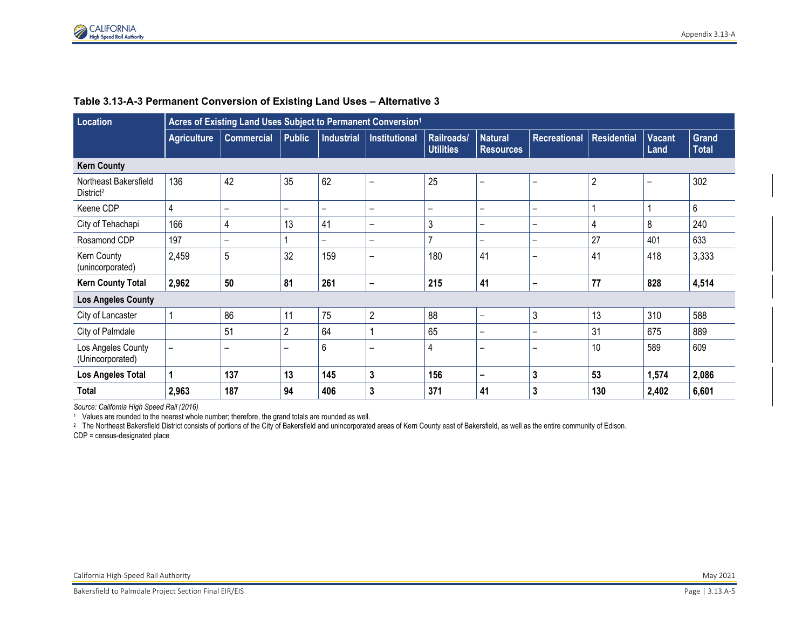| Location                                       |                    | Acres of Existing Land Uses Subject to Permanent Conversion <sup>1</sup> |                |                   |                      |                                |                                    |                          |                    |                          |                              |
|------------------------------------------------|--------------------|--------------------------------------------------------------------------|----------------|-------------------|----------------------|--------------------------------|------------------------------------|--------------------------|--------------------|--------------------------|------------------------------|
|                                                | <b>Agriculture</b> | <b>Commercial</b>                                                        | <b>Public</b>  | <b>Industrial</b> | <b>Institutional</b> | Railroads/<br><b>Utilities</b> | <b>Natural</b><br><b>Resources</b> | Recreational             | <b>Residential</b> | <b>Vacant</b><br>Land    | <b>Grand</b><br><b>Total</b> |
| <b>Kern County</b>                             |                    |                                                                          |                |                   |                      |                                |                                    |                          |                    |                          |                              |
| Northeast Bakersfield<br>District <sup>2</sup> | 136                | 42                                                                       | 35             | 62                | -                    | 25                             |                                    |                          | $\overline{2}$     | $\overline{\phantom{0}}$ | 302                          |
| Keene CDP                                      | 4                  | -                                                                        | -              | -                 | -                    | $\qquad \qquad$                | -                                  | -                        |                    |                          | 6                            |
| City of Tehachapi                              | 166                | 4                                                                        | 13             | 41                | -                    | 3                              | -                                  | -                        | 4                  | 8                        | 240                          |
| Rosamond CDP                                   | 197                | -                                                                        |                |                   | -                    | $\overline{ }$                 | -                                  | $\overline{\phantom{0}}$ | 27                 | 401                      | 633                          |
| Kern County<br>(unincorporated)                | 2,459              | 5                                                                        | 32             | 159               | -                    | 180                            | 41                                 |                          | 41                 | 418                      | 3,333                        |
| <b>Kern County Total</b>                       | 2,962              | 50                                                                       | 81             | 261               | -                    | 215                            | 41                                 | $\overline{\phantom{0}}$ | 77                 | 828                      | 4,514                        |
| <b>Los Angeles County</b>                      |                    |                                                                          |                |                   |                      |                                |                                    |                          |                    |                          |                              |
| City of Lancaster                              |                    | 86                                                                       | 11             | 75                | $\overline{2}$       | 88                             | -                                  | 3                        | 13                 | 310                      | 588                          |
| City of Palmdale                               |                    | 51                                                                       | $\overline{2}$ | 64                |                      | 65                             |                                    |                          | 31                 | 675                      | 889                          |
| Los Angeles County<br>(Unincorporated)         | -                  |                                                                          |                | 6                 | -                    | 4                              |                                    |                          | 10                 | 589                      | 609                          |
| Los Angeles Total                              |                    | 137                                                                      | 13             | 145               | 3                    | 156                            | -                                  | 3                        | 53                 | 1,574                    | 2,086                        |
| <b>Total</b>                                   | 2,963              | 187                                                                      | 94             | 406               | 3                    | 371                            | 41                                 | 3                        | 130                | 2,402                    | 6,601                        |

#### <span id="page-6-0"></span>**Table 3.13-A-3 Permanent Conversion of Existing Land Uses – Alternative 3**

*Source: California High Speed Rail (2016)* 

1 Values are rounded to the nearest whole number; therefore, the grand totals are rounded as well.

<sup>2</sup> The Northeast Bakersfield District consists of portions of the City of Bakersfield and unincorporated areas of Kern County east of Bakersfield, as well as the entire community of Edison.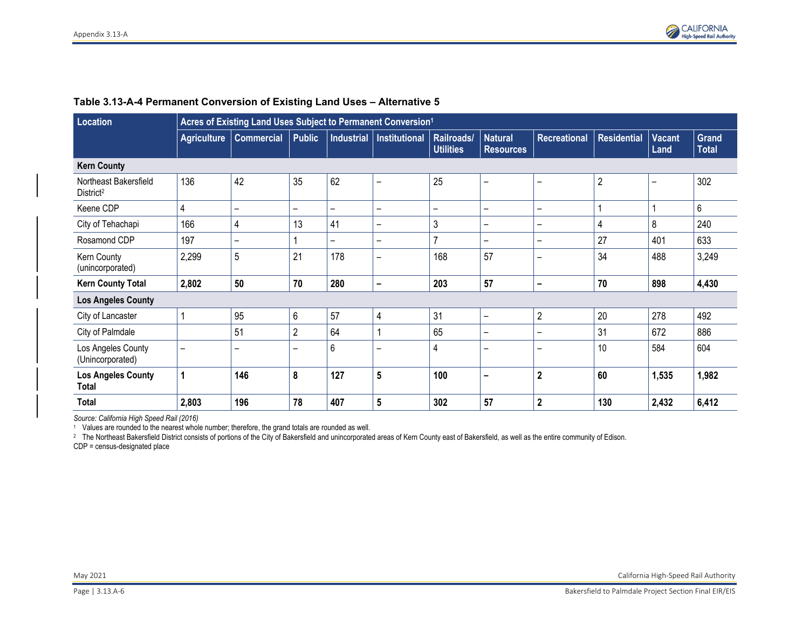| Location                                       |                    | Acres of Existing Land Uses Subject to Permanent Conversion <sup>1</sup> |                          |            |                          |                                |                                    |                          |                    |                       |                              |
|------------------------------------------------|--------------------|--------------------------------------------------------------------------|--------------------------|------------|--------------------------|--------------------------------|------------------------------------|--------------------------|--------------------|-----------------------|------------------------------|
|                                                | <b>Agriculture</b> | <b>Commercial</b>                                                        | <b>Public</b>            | Industrial | <b>Institutional</b>     | Railroads/<br><b>Utilities</b> | <b>Natural</b><br><b>Resources</b> | <b>Recreational</b>      | <b>Residential</b> | <b>Vacant</b><br>Land | <b>Grand</b><br><b>Total</b> |
| <b>Kern County</b>                             |                    |                                                                          |                          |            |                          |                                |                                    |                          |                    |                       |                              |
| Northeast Bakersfield<br>District <sup>2</sup> | 136                | 42                                                                       | 35                       | 62         | $\overline{\phantom{0}}$ | 25                             | -                                  | -                        | $\overline{2}$     | -                     | 302                          |
| Keene CDP                                      | 4                  | $\overline{\phantom{0}}$                                                 | $\overline{\phantom{a}}$ | -          | -                        | -                              | -                                  | -                        |                    |                       | 6                            |
| City of Tehachapi                              | 166                | 4                                                                        | 13                       | 41         | $\overline{\phantom{0}}$ | 3                              | -                                  | -                        | 4                  | 8                     | 240                          |
| Rosamond CDP                                   | 197                | -                                                                        |                          |            | -                        |                                | -                                  | -                        | 27                 | 401                   | 633                          |
| Kern County<br>(unincorporated)                | 2,299              | 5                                                                        | 21                       | 178        | $\overline{\phantom{0}}$ | 168                            | 57                                 | -                        | 34                 | 488                   | 3,249                        |
| <b>Kern County Total</b>                       | 2,802              | 50                                                                       | 70                       | 280        | Ξ.                       | 203                            | 57                                 | $\overline{\phantom{0}}$ | 70                 | 898                   | 4,430                        |
| <b>Los Angeles County</b>                      |                    |                                                                          |                          |            |                          |                                |                                    |                          |                    |                       |                              |
| City of Lancaster                              |                    | 95                                                                       | 6                        | 57         | 4                        | 31                             | Ξ.                                 | $\overline{2}$           | 20                 | 278                   | 492                          |
| City of Palmdale                               |                    | 51                                                                       | $\overline{2}$           | 64         |                          | 65                             | -                                  | -                        | 31                 | 672                   | 886                          |
| Los Angeles County<br>(Unincorporated)         | -                  | -                                                                        |                          | 6          | -                        | 4                              | $\overline{\phantom{0}}$           | -                        | 10                 | 584                   | 604                          |
| <b>Los Angeles County</b><br>Total             | 1                  | 146                                                                      | 8                        | 127        | $5\phantom{.0}$          | 100                            | -                                  | $\overline{2}$           | 60                 | 1,535                 | 1,982                        |
| <b>Total</b>                                   | 2,803              | 196                                                                      | 78                       | 407        | 5                        | 302                            | 57                                 | $\overline{2}$           | 130                | 2,432                 | 6,412                        |

#### <span id="page-7-0"></span>**Table 3.13-A-4 Permanent Conversion of Existing Land Uses – Alternative 5**

*Source: California High Speed Rail (2016)* 

1 Values are rounded to the nearest whole number; therefore, the grand totals are rounded as well.

 $^2$  The Northeast Bakersfield District consists of portions of the City of Bakersfield and unincorporated areas of Kern County east of Bakersfield, as well as the entire community of Edison.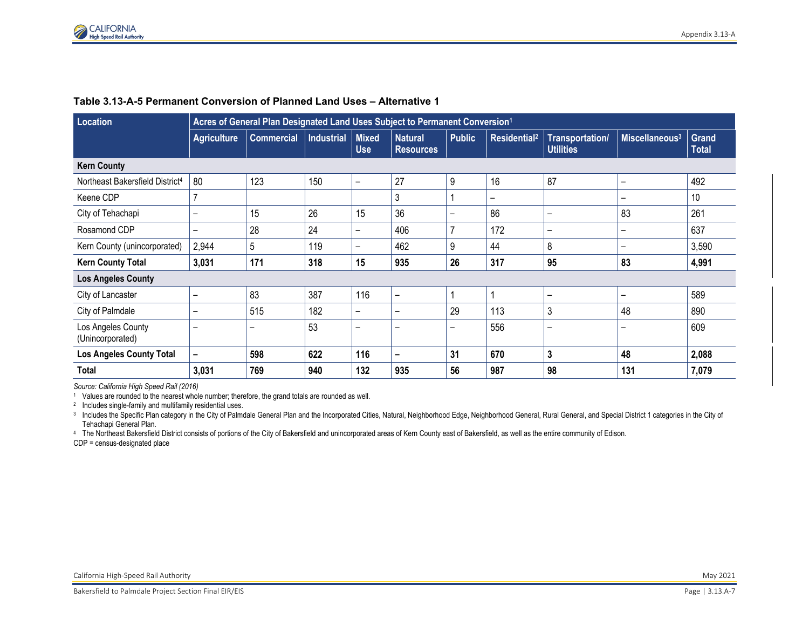| <b>Location</b>                             |                          | Acres of General Plan Designated Land Uses Subject to Permanent Conversion <sup>1</sup> |                   |                            |                                    |               |                          |                                     |                            |                              |
|---------------------------------------------|--------------------------|-----------------------------------------------------------------------------------------|-------------------|----------------------------|------------------------------------|---------------|--------------------------|-------------------------------------|----------------------------|------------------------------|
|                                             | <b>Agriculture</b>       | <b>Commercial</b>                                                                       | <b>Industrial</b> | <b>Mixed</b><br><b>Use</b> | <b>Natural</b><br><b>Resources</b> | <b>Public</b> | Residential <sup>2</sup> | Transportation/<br><b>Utilities</b> | Miscellaneous <sup>3</sup> | <b>Grand</b><br><b>Total</b> |
| <b>Kern County</b>                          |                          |                                                                                         |                   |                            |                                    |               |                          |                                     |                            |                              |
| Northeast Bakersfield District <sup>4</sup> | 80                       | 123                                                                                     | 150               | -                          | 27                                 | 9             | 16                       | 87                                  | $\overline{\phantom{0}}$   | 492                          |
| Keene CDP                                   |                          |                                                                                         |                   |                            | 3                                  |               |                          |                                     | -                          | 10                           |
| City of Tehachapi                           |                          | 15                                                                                      | 26                | 15                         | 36                                 |               | 86                       | -                                   | 83                         | 261                          |
| Rosamond CDP                                |                          | 28                                                                                      | 24                |                            | 406                                |               | 172                      |                                     | $\overline{\phantom{0}}$   | 637                          |
| Kern County (unincorporated)                | 2,944                    | 5                                                                                       | 119               | -                          | 462                                | 9             | 44                       | 8                                   | $\overline{\phantom{0}}$   | 3,590                        |
| <b>Kern County Total</b>                    | 3,031                    | 171                                                                                     | 318               | 15                         | 935                                | 26            | 317                      | 95                                  | 83                         | 4,991                        |
| <b>Los Angeles County</b>                   |                          |                                                                                         |                   |                            |                                    |               |                          |                                     |                            |                              |
| City of Lancaster                           |                          | 83                                                                                      | 387               | 116                        | $\overline{\phantom{m}}$           |               |                          | -                                   | -                          | 589                          |
| City of Palmdale                            |                          | 515                                                                                     | 182               | -                          | $\qquad \qquad -$                  | 29            | 113                      | 3                                   | 48                         | 890                          |
| Los Angeles County<br>(Unincorporated)      |                          |                                                                                         | 53                |                            | -                                  | ۰             | 556                      | -                                   | $\overline{\phantom{0}}$   | 609                          |
| <b>Los Angeles County Total</b>             | $\overline{\phantom{0}}$ | 598                                                                                     | 622               | 116                        | -                                  | 31            | 670                      | 3                                   | 48                         | 2,088                        |
| Total                                       | 3,031                    | 769                                                                                     | 940               | 132                        | 935                                | 56            | 987                      | 98                                  | 131                        | 7,079                        |

#### <span id="page-8-0"></span>**Table 3.13-A-5 Permanent Conversion of Planned Land Uses – Alternative 1**

*Source: California High Speed Rail (2016)* 

<sup>1</sup> Values are rounded to the nearest whole number; therefore, the grand totals are rounded as well.

2 Includes single-family and multifamily residential uses.

3 Includes the Specific Plan category in the City of Palmdale General Plan and the Incorporated Cities, Natural, Neighborhood Edge, Neighborhood General, Rural General, and Special District 1 categories in the City of Tehachapi General Plan.

4 The Northeast Bakersfield District consists of portions of the City of Bakersfield and unincorporated areas of Kern County east of Bakersfield, as well as the entire community of Edison.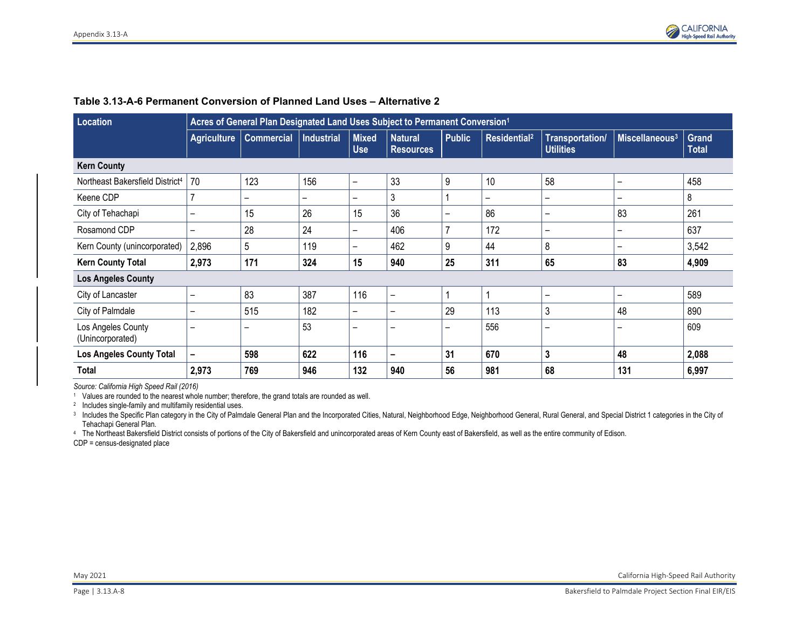| Location                                    |                          | Acres of General Plan Designated Land Uses Subject to Permanent Conversion <sup>1</sup> |                          |                            |                                    |               |                          |                                     |                            |                              |
|---------------------------------------------|--------------------------|-----------------------------------------------------------------------------------------|--------------------------|----------------------------|------------------------------------|---------------|--------------------------|-------------------------------------|----------------------------|------------------------------|
|                                             | <b>Agriculture</b>       | <b>Commercial</b>                                                                       | Industrial               | <b>Mixed</b><br><b>Use</b> | <b>Natural</b><br><b>Resources</b> | <b>Public</b> | Residential <sup>2</sup> | Transportation/<br><b>Utilities</b> | Miscellaneous <sup>3</sup> | <b>Grand</b><br><b>Total</b> |
| <b>Kern County</b>                          |                          |                                                                                         |                          |                            |                                    |               |                          |                                     |                            |                              |
| Northeast Bakersfield District <sup>4</sup> | 70                       | 123                                                                                     | 156                      | -                          | 33                                 | 9             | 10                       | 58                                  | -                          | 458                          |
| Keene CDP                                   |                          |                                                                                         | $\overline{\phantom{0}}$ |                            | 3                                  |               | -                        | -                                   | -                          | 8                            |
| City of Tehachapi                           | -                        | 15                                                                                      | 26                       | 15                         | 36                                 | -             | 86                       | -                                   | 83                         | 261                          |
| Rosamond CDP                                |                          | 28                                                                                      | 24                       |                            | 406                                | ⇁             | 172                      | -                                   | —                          | 637                          |
| Kern County (unincorporated)                | 2,896                    | 5                                                                                       | 119                      | -                          | 462                                | 9             | 44                       | 8                                   | —                          | 3,542                        |
| <b>Kern County Total</b>                    | 2,973                    | 171                                                                                     | 324                      | 15                         | 940                                | 25            | 311                      | 65                                  | 83                         | 4,909                        |
| <b>Los Angeles County</b>                   |                          |                                                                                         |                          |                            |                                    |               |                          |                                     |                            |                              |
| City of Lancaster                           |                          | 83                                                                                      | 387                      | 116                        | -                                  |               |                          | -                                   | —                          | 589                          |
| City of Palmdale                            |                          | 515                                                                                     | 182                      | -                          | -                                  | 29            | 113                      | 3                                   | 48                         | 890                          |
| Los Angeles County<br>(Unincorporated)      |                          |                                                                                         | 53                       | -                          | -                                  | -             | 556                      | -                                   | -                          | 609                          |
| <b>Los Angeles County Total</b>             | $\overline{\phantom{a}}$ | 598                                                                                     | 622                      | 116                        | $\overline{\phantom{a}}$           | 31            | 670                      | $\mathbf{3}$                        | 48                         | 2,088                        |
| <b>Total</b>                                | 2,973                    | 769                                                                                     | 946                      | 132                        | 940                                | 56            | 981                      | 68                                  | 131                        | 6,997                        |

#### <span id="page-9-0"></span>**Table 3.13-A-6 Permanent Conversion of Planned Land Uses – Alternative 2**

*Source: California High Speed Rail (2016)* 

<sup>1</sup> Values are rounded to the nearest whole number; therefore, the grand totals are rounded as well.

2 Includes single-family and multifamily residential uses.

<sup>3</sup> Includes the Specific Plan category in the City of Palmdale General Plan and the Incorporated Cities, Natural, Neighborhood Edge, Neighborhood General, Rural General, and Special District 1 categories in the City of Tehachapi General Plan.

4 The Northeast Bakersfield District consists of portions of the City of Bakersfield and unincorporated areas of Kern County east of Bakersfield, as well as the entire community of Edison.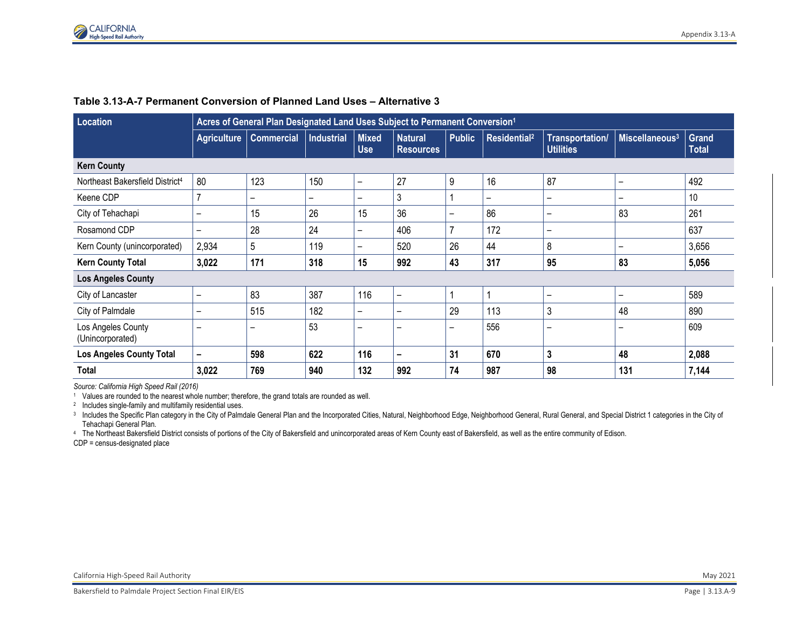| Location                                    | Acres of General Plan Designated Land Uses Subject to Permanent Conversion <sup>1</sup> |                   |                   |                            |                                    |                 |                          |                                     |                            |                              |  |  |
|---------------------------------------------|-----------------------------------------------------------------------------------------|-------------------|-------------------|----------------------------|------------------------------------|-----------------|--------------------------|-------------------------------------|----------------------------|------------------------------|--|--|
|                                             | <b>Agriculture</b>                                                                      | <b>Commercial</b> | <b>Industrial</b> | <b>Mixed</b><br><b>Use</b> | <b>Natural</b><br><b>Resources</b> | <b>Public</b>   | Residential <sup>2</sup> | Transportation/<br><b>Utilities</b> | Miscellaneous <sup>3</sup> | <b>Grand</b><br><b>Total</b> |  |  |
| <b>Kern County</b>                          |                                                                                         |                   |                   |                            |                                    |                 |                          |                                     |                            |                              |  |  |
| Northeast Bakersfield District <sup>4</sup> | 80                                                                                      | 123               | 150               | -                          | 27                                 | 9               | 16                       | 87                                  | -                          | 492                          |  |  |
| Keene CDP                                   | 7                                                                                       |                   |                   | -                          | 3                                  |                 |                          | $\overline{\phantom{0}}$            | -                          | 10                           |  |  |
| City of Tehachapi                           | -                                                                                       | 15                | 26                | 15                         | 36                                 | $\qquad \qquad$ | 86                       | $\overline{\phantom{m}}$            | 83                         | 261                          |  |  |
| Rosamond CDP                                |                                                                                         | 28                | 24                | -                          | 406                                |                 | 172                      | ۰                                   |                            | 637                          |  |  |
| Kern County (unincorporated)                | 2,934                                                                                   | 5                 | 119               | -                          | 520                                | 26              | 44                       | 8                                   | -                          | 3,656                        |  |  |
| <b>Kern County Total</b>                    | 3,022                                                                                   | 171               | 318               | 15                         | 992                                | 43              | 317                      | 95                                  | 83                         | 5,056                        |  |  |
| <b>Los Angeles County</b>                   |                                                                                         |                   |                   |                            |                                    |                 |                          |                                     |                            |                              |  |  |
| City of Lancaster                           | -                                                                                       | 83                | 387               | 116                        | $\overline{\phantom{a}}$           |                 |                          | ۰                                   |                            | 589                          |  |  |
| City of Palmdale                            | -                                                                                       | 515               | 182               | -                          | $\overline{\phantom{a}}$           | 29              | 113                      | 3                                   | 48                         | 890                          |  |  |
| Los Angeles County<br>(Unincorporated)      |                                                                                         |                   | 53                | -                          |                                    | $\qquad \qquad$ | 556                      | $\overline{\phantom{0}}$            | -                          | 609                          |  |  |
| <b>Los Angeles County Total</b>             | $\blacksquare$                                                                          | 598               | 622               | 116                        | $\overline{\phantom{0}}$           | 31              | 670                      | 3                                   | 48                         | 2,088                        |  |  |
| <b>Total</b>                                | 3,022                                                                                   | 769               | 940               | 132                        | 992                                | 74              | 987                      | 98                                  | 131                        | 7,144                        |  |  |

#### <span id="page-10-0"></span>**Table 3.13-A-7 Permanent Conversion of Planned Land Uses – Alternative 3**

*Source: California High Speed Rail (2016)* 

<sup>1</sup> Values are rounded to the nearest whole number; therefore, the grand totals are rounded as well.

2 Includes single-family and multifamily residential uses.

3 Includes the Specific Plan category in the City of Palmdale General Plan and the Incorporated Cities, Natural, Neighborhood Edge, Neighborhood General, Rural General, and Special District 1 categories in the City of Tehachapi General Plan.

4 The Northeast Bakersfield District consists of portions of the City of Bakersfield and unincorporated areas of Kern County east of Bakersfield, as well as the entire community of Edison.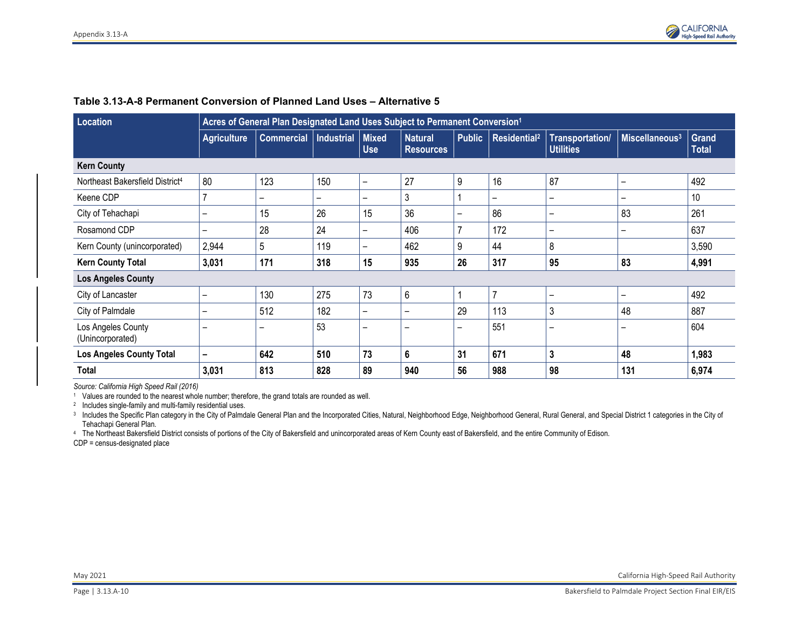| Location                                    |                          | Acres of General Plan Designated Land Uses Subject to Permanent Conversion <sup>1</sup> |     |                     |                                    |               |                          |                                     |                            |                              |
|---------------------------------------------|--------------------------|-----------------------------------------------------------------------------------------|-----|---------------------|------------------------------------|---------------|--------------------------|-------------------------------------|----------------------------|------------------------------|
|                                             | <b>Agriculture</b>       | Commercial Industrial                                                                   |     | Mixed<br><b>Use</b> | <b>Natural</b><br><b>Resources</b> | <b>Public</b> | Residential <sup>2</sup> | Transportation/<br><b>Utilities</b> | Miscellaneous <sup>3</sup> | <b>Grand</b><br><b>Total</b> |
| <b>Kern County</b>                          |                          |                                                                                         |     |                     |                                    |               |                          |                                     |                            |                              |
| Northeast Bakersfield District <sup>4</sup> | 80                       | 123                                                                                     | 150 | -                   | 27                                 | 9             | 16                       | 87                                  | -                          | 492                          |
| Keene CDP                                   | 7                        | $\overline{\phantom{0}}$                                                                |     | -                   | 3                                  |               | $\qquad \qquad$          | -                                   | -                          | 10                           |
| City of Tehachapi                           | -                        | 15                                                                                      | 26  | 15                  | 36                                 | -             | 86                       | -                                   | 83                         | 261                          |
| Rosamond CDP                                |                          | 28                                                                                      | 24  | -                   | 406                                | ⇁             | 172                      | ۰                                   | $\qquad \qquad$            | 637                          |
| Kern County (unincorporated)                | 2,944                    | 5                                                                                       | 119 | -                   | 462                                | 9             | 44                       | 8                                   |                            | 3,590                        |
| <b>Kern County Total</b>                    | 3,031                    | 171                                                                                     | 318 | 15                  | 935                                | 26            | 317                      | 95                                  | 83                         | 4,991                        |
| <b>Los Angeles County</b>                   |                          |                                                                                         |     |                     |                                    |               |                          |                                     |                            |                              |
| City of Lancaster                           | -                        | 130                                                                                     | 275 | 73                  | 6                                  |               | $\overline{7}$           | $\overline{\phantom{0}}$            | $\qquad \qquad$            | 492                          |
| City of Palmdale                            | -                        | 512                                                                                     | 182 | -                   | $\overline{\phantom{0}}$           | 29            | 113                      | 3                                   | 48                         | 887                          |
| Los Angeles County<br>(Unincorporated)      | —                        | $\overline{\phantom{0}}$                                                                | 53  | -                   | -                                  | -             | 551                      | -                                   |                            | 604                          |
| <b>Los Angeles County Total</b>             | $\overline{\phantom{0}}$ | 642                                                                                     | 510 | 73                  | 6                                  | 31            | 671                      | 3                                   | 48                         | 1,983                        |
| <b>Total</b>                                | 3,031                    | 813                                                                                     | 828 | 89                  | 940                                | 56            | 988                      | 98                                  | 131                        | 6,974                        |

#### <span id="page-11-0"></span>**Table 3.13-A-8 Permanent Conversion of Planned Land Uses – Alternative 5**

*Source: California High Speed Rail (2016)* 

1 Values are rounded to the nearest whole number; therefore, the grand totals are rounded as well.

2 Includes single-family and multi-family residential uses.

<sup>3</sup> Includes the Specific Plan category in the City of Palmdale General Plan and the Incorporated Cities, Natural, Neighborhood Edge, Neighborhood General, Rural General, and Special District 1 categories in the City of Tehachapi General Plan.

4 The Northeast Bakersfield District consists of portions of the City of Bakersfield and unincorporated areas of Kern County east of Bakersfield, and the entire Community of Edison.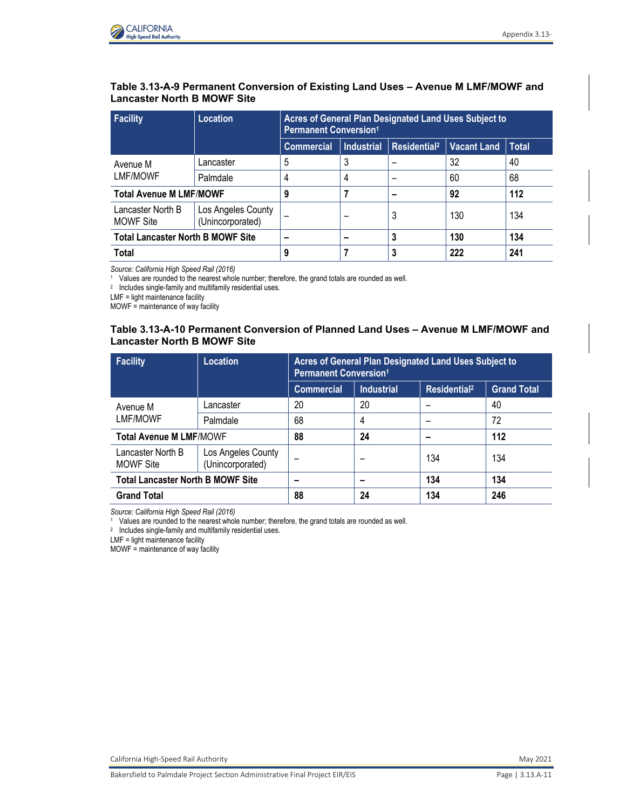<span id="page-12-0"></span>

#### **Table 3.13-A-9 Permanent Conversion of Existing Land Uses – Avenue M LMF/MOWF and Lancaster North B MOWF Site**

| <b>Facility</b>                          | Location                               | <b>Acres of General Plan Designated Land Uses Subject to</b><br><b>Permanent Conversion1</b> |            |                          |                    |              |  |  |  |  |
|------------------------------------------|----------------------------------------|----------------------------------------------------------------------------------------------|------------|--------------------------|--------------------|--------------|--|--|--|--|
|                                          |                                        | <b>Commercial</b>                                                                            | Industrial | Residential <sup>2</sup> | <b>Vacant Land</b> | <b>Total</b> |  |  |  |  |
| Avenue M                                 | Lancaster                              | 5                                                                                            | 3          |                          | 32                 | 40           |  |  |  |  |
| LMF/MOWF                                 | Palmdale                               | 4                                                                                            | 4          |                          | 60                 | 68           |  |  |  |  |
| <b>Total Avenue M LMF/MOWF</b>           |                                        | g                                                                                            |            |                          | 92                 | 112          |  |  |  |  |
| Lancaster North B<br><b>MOWF Site</b>    | Los Angeles County<br>(Unincorporated) |                                                                                              |            | 3                        | 130                | 134          |  |  |  |  |
| <b>Total Lancaster North B MOWF Site</b> |                                        |                                                                                              | 3          | 130                      | 134                |              |  |  |  |  |
| <b>Total</b>                             | 9                                      |                                                                                              | 3          | 222                      | 241                |              |  |  |  |  |

*Source: California High Speed Rail (2016)* 

<sup>1</sup> Values are rounded to the nearest whole number; therefore, the grand totals are rounded as well.

<sup>2</sup> Includes single-family and multifamily residential uses.

LMF = light maintenance facility

MOWF = maintenance of way facility

#### **Table 3.13-A-10 Permanent Conversion of Planned Land Uses – Avenue M LMF/MOWF and Lancaster North B MOWF Site**

| <b>Facility</b>                          | Location                               | <b>Acres of General Plan Designated Land Uses Subject to</b><br><b>Permanent Conversion1</b> |                   |                          |                    |  |  |  |  |  |
|------------------------------------------|----------------------------------------|----------------------------------------------------------------------------------------------|-------------------|--------------------------|--------------------|--|--|--|--|--|
|                                          |                                        | <b>Commercial</b>                                                                            | <b>Industrial</b> | Residential <sup>2</sup> | <b>Grand Total</b> |  |  |  |  |  |
| Avenue M                                 | Lancaster                              | 20                                                                                           | 20                |                          | 40                 |  |  |  |  |  |
| LMF/MOWF                                 | Palmdale                               | 68                                                                                           | 4                 |                          | 72                 |  |  |  |  |  |
| <b>Total Avenue M LMF/MOWF</b>           |                                        | 88                                                                                           | 24                |                          | 112                |  |  |  |  |  |
| Lancaster North B<br><b>MOWF Site</b>    | Los Angeles County<br>(Unincorporated) |                                                                                              |                   | 134                      | 134                |  |  |  |  |  |
| <b>Total Lancaster North B MOWF Site</b> |                                        |                                                                                              |                   | 134                      | 134                |  |  |  |  |  |
| <b>Grand Total</b>                       |                                        | 88                                                                                           | 24                | 134                      | 246                |  |  |  |  |  |

*Source: California High Speed Rail (2016)* 

1 Values are rounded to the nearest whole number; therefore, the grand totals are rounded as well.<br><sup>2</sup> Includes single-family and multifamily residential uses.

LMF = light maintenance facility

MOWF = maintenance of way facility